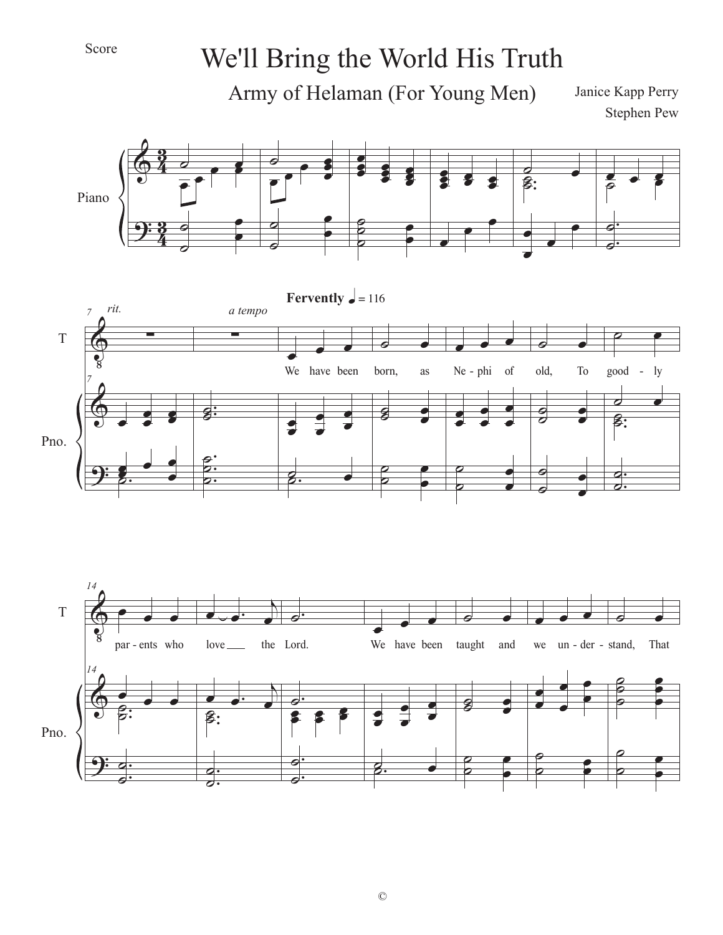## Score

## We'll Bring the World His Truth

Army of Helaman (For Young Men)

Janice Kapp Perry Stephen Pew

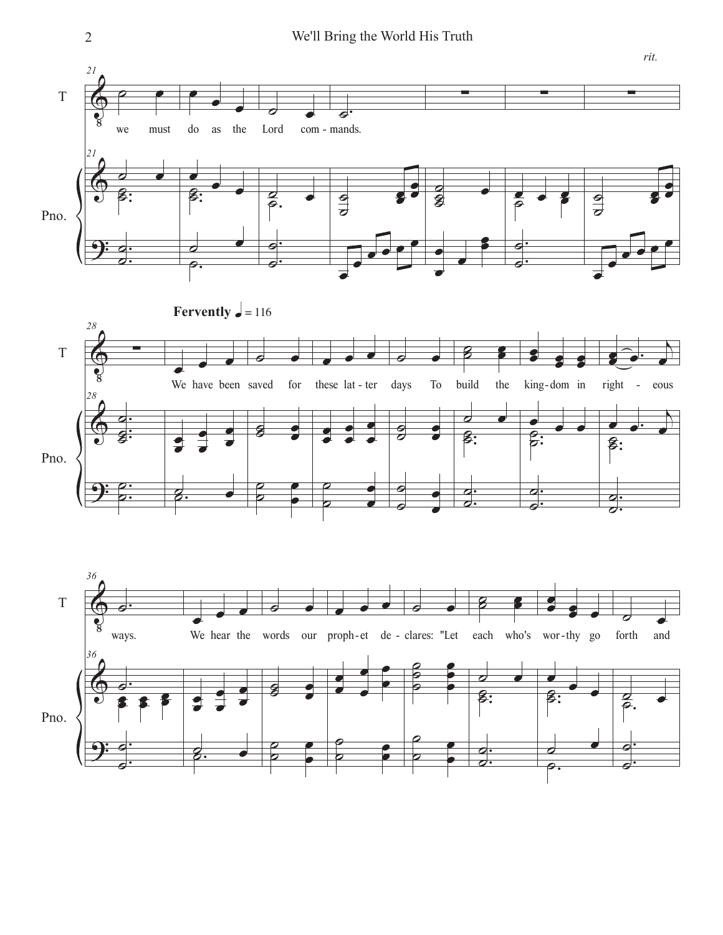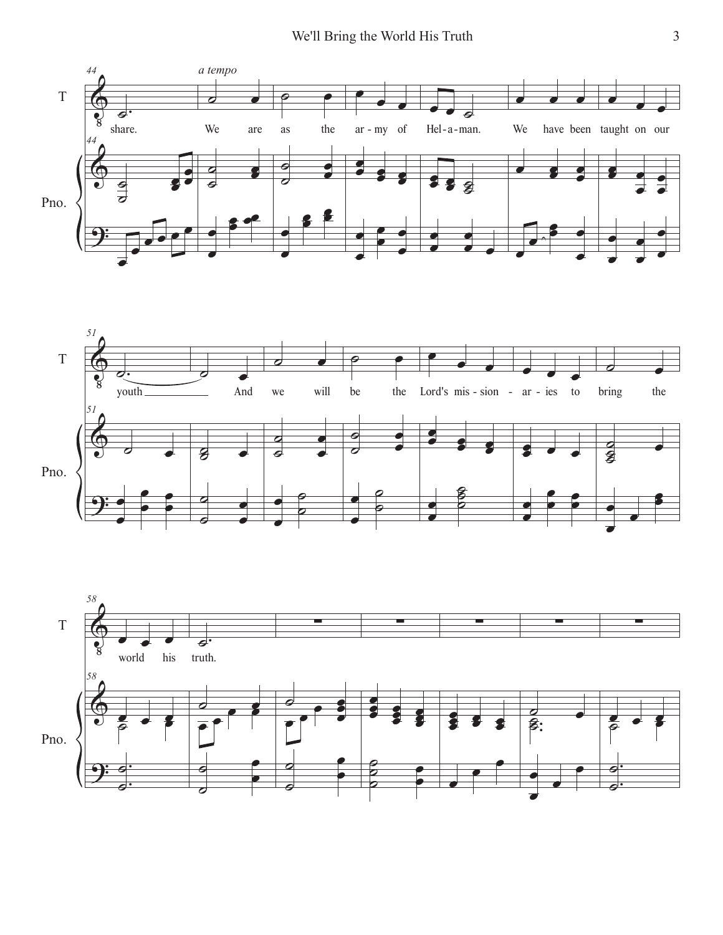



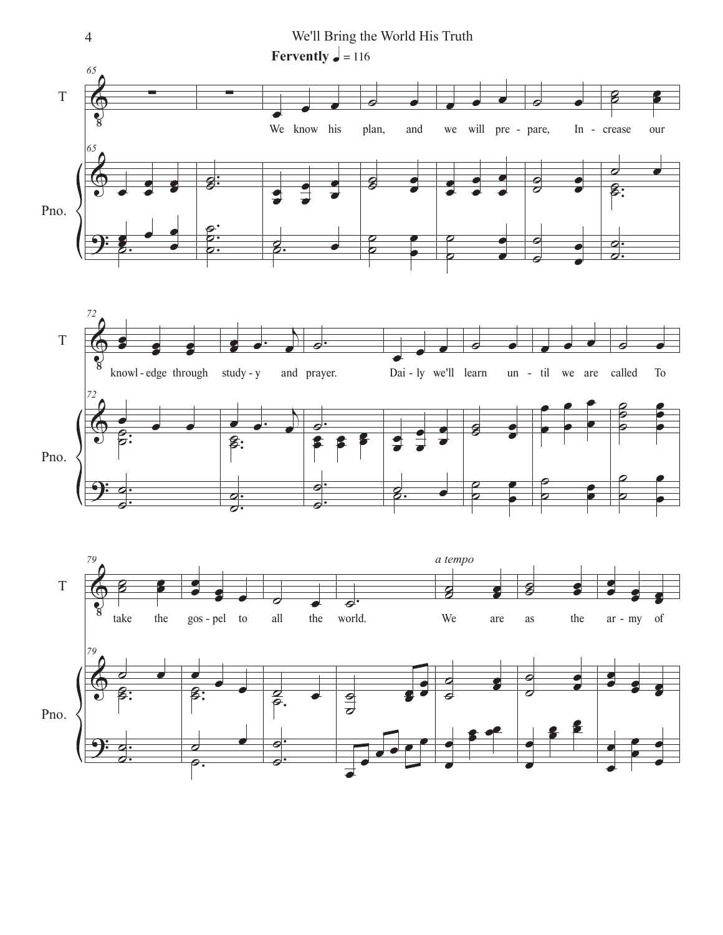